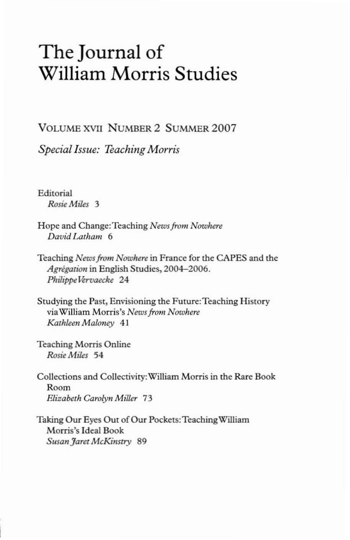## The Journal of William Morris Studies

VOLUME XVII NUMBER 2 SUMMER 2007

*Special Issue: Teaching Morris*

Editorial *Rosie Miles 3*

- Hope and Change:Teaching *Newsfrom Nowhere David Lalham 6*
- Teaching *Newsfrom Nowhere* in France for the CAPES and the Agrégation in English Studies, 2004-2006.  $Philipbe Vervaecke 24$
- Studying the Past, Envisioning the Future: Teaching History via WiIliam Morris's *Newsfrom Nowhere*  $K$ athleen *Maloney* 41
- Teaching Morris Online *Rosie Miles* 54
- Collections and Collectivity:WiIliam Morris in the Rare Book Room *Elizabeth Carolyn Miller 73*
- Taking Our Eyes Out of Our Pockets: Teaching William Morris's Ideal Book  $S$ usan Faret McKinstry 89